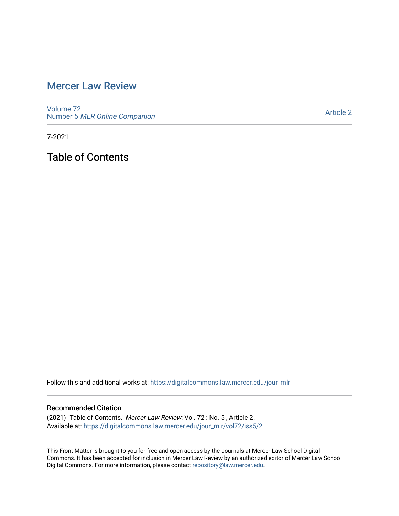## [Mercer Law Review](https://digitalcommons.law.mercer.edu/jour_mlr)

[Volume 72](https://digitalcommons.law.mercer.edu/jour_mlr/vol72) Number 5 [MLR Online Companion](https://digitalcommons.law.mercer.edu/jour_mlr/vol72/iss5) 

[Article 2](https://digitalcommons.law.mercer.edu/jour_mlr/vol72/iss5/2) 

7-2021

Table of Contents

Follow this and additional works at: [https://digitalcommons.law.mercer.edu/jour\\_mlr](https://digitalcommons.law.mercer.edu/jour_mlr?utm_source=digitalcommons.law.mercer.edu%2Fjour_mlr%2Fvol72%2Fiss5%2F2&utm_medium=PDF&utm_campaign=PDFCoverPages)

#### Recommended Citation

(2021) "Table of Contents," Mercer Law Review: Vol. 72 : No. 5 , Article 2. Available at: [https://digitalcommons.law.mercer.edu/jour\\_mlr/vol72/iss5/2](https://digitalcommons.law.mercer.edu/jour_mlr/vol72/iss5/2?utm_source=digitalcommons.law.mercer.edu%2Fjour_mlr%2Fvol72%2Fiss5%2F2&utm_medium=PDF&utm_campaign=PDFCoverPages)

This Front Matter is brought to you for free and open access by the Journals at Mercer Law School Digital Commons. It has been accepted for inclusion in Mercer Law Review by an authorized editor of Mercer Law School Digital Commons. For more information, please contact [repository@law.mercer.edu](mailto:repository@law.mercer.edu).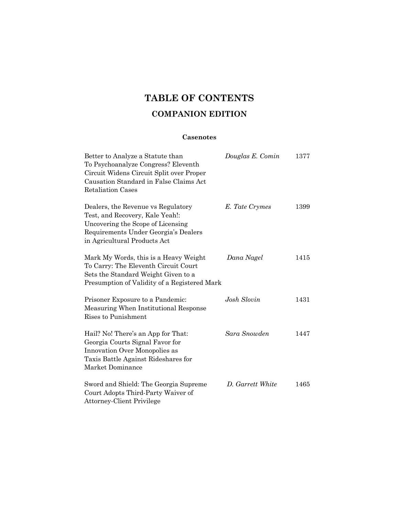# **TABLE OF CONTENTS**

### **COMPANION EDITION**

### **Casenotes**

| Better to Analyze a Statute than<br>To Psychoanalyze Congress? Eleventh<br>Circuit Widens Circuit Split over Proper<br>Causation Standard in False Claims Act<br><b>Retaliation Cases</b> | Douglas E. Comin | 1377 |
|-------------------------------------------------------------------------------------------------------------------------------------------------------------------------------------------|------------------|------|
| Dealers, the Revenue vs Regulatory<br>Test, and Recovery, Kale Yeah!:<br>Uncovering the Scope of Licensing<br>Requirements Under Georgia's Dealers<br>in Agricultural Products Act        | E. Tate Crymes   | 1399 |
| Mark My Words, this is a Heavy Weight<br>To Carry: The Eleventh Circuit Court<br>Sets the Standard Weight Given to a<br>Presumption of Validity of a Registered Mark                      | Dana Nagel       | 1415 |
| Prisoner Exposure to a Pandemic:<br>Measuring When Institutional Response<br>Rises to Punishment                                                                                          | Josh Slovin      | 1431 |
| Hail? No! There's an App for That:<br>Georgia Courts Signal Favor for<br>Innovation Over Monopolies as<br>Taxis Battle Against Rideshares for<br>Market Dominance                         | Sara Snowden     | 1447 |
| Sword and Shield: The Georgia Supreme<br>Court Adopts Third-Party Waiver of<br><b>Attorney-Client Privilege</b>                                                                           | D. Garrett White | 1465 |